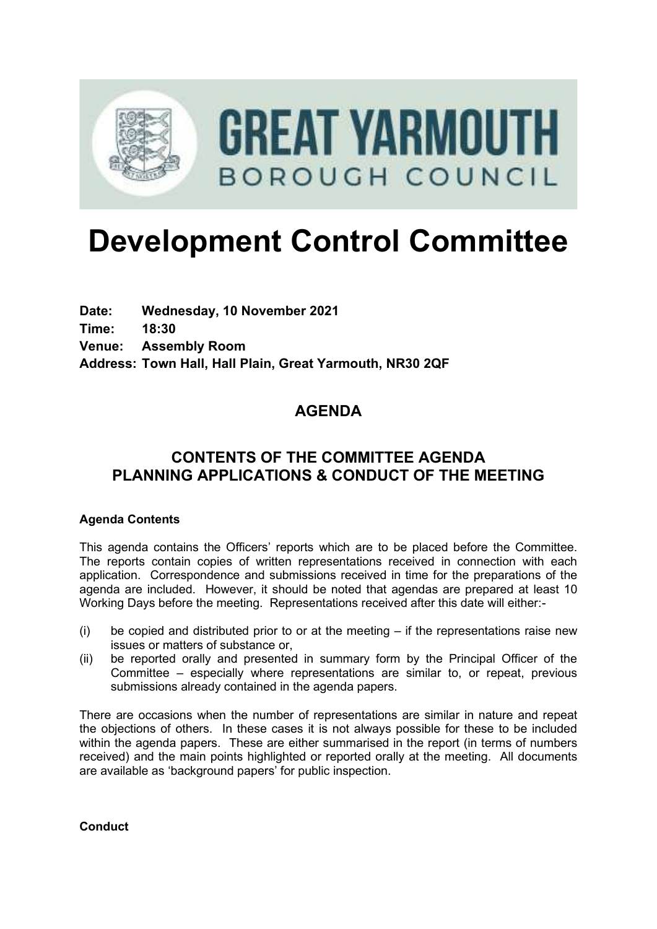

# **Development Control Committee**

| Date: | Wednesday, 10 November 2021                              |
|-------|----------------------------------------------------------|
| Time: | 18:30                                                    |
|       | <b>Venue: Assembly Room</b>                              |
|       | Address: Town Hall, Hall Plain, Great Yarmouth, NR30 2QF |

# **AGENDA**

# **CONTENTS OF THE COMMITTEE AGENDA PLANNING APPLICATIONS & CONDUCT OF THE MEETING**

### **Agenda Contents**

This agenda contains the Officers' reports which are to be placed before the Committee. The reports contain copies of written representations received in connection with each application. Correspondence and submissions received in time for the preparations of the agenda are included. However, it should be noted that agendas are prepared at least 10 Working Days before the meeting. Representations received after this date will either:-

- (i) be copied and distributed prior to or at the meeting  $-$  if the representations raise new issues or matters of substance or,
- (ii) be reported orally and presented in summary form by the Principal Officer of the Committee – especially where representations are similar to, or repeat, previous submissions already contained in the agenda papers.

There are occasions when the number of representations are similar in nature and repeat the objections of others. In these cases it is not always possible for these to be included within the agenda papers. These are either summarised in the report (in terms of numbers received) and the main points highlighted or reported orally at the meeting. All documents are available as 'background papers' for public inspection.

**Conduct**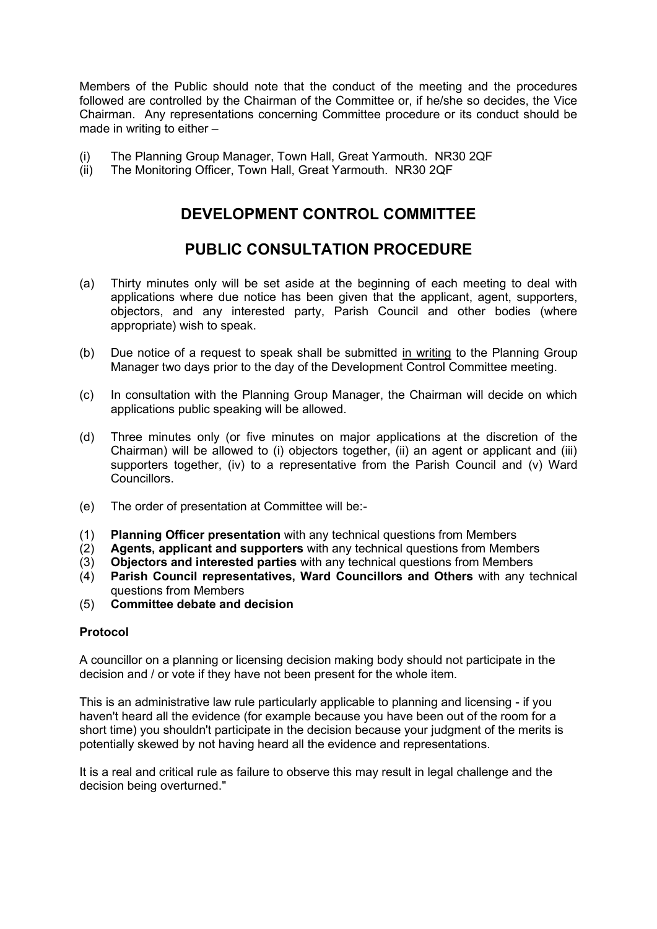Members of the Public should note that the conduct of the meeting and the procedures followed are controlled by the Chairman of the Committee or, if he/she so decides, the Vice Chairman. Any representations concerning Committee procedure or its conduct should be made in writing to either –

- (i) The Planning Group Manager, Town Hall, Great Yarmouth. NR30 2QF
- (ii) The Monitoring Officer, Town Hall, Great Yarmouth. NR30 2QF

# **DEVELOPMENT CONTROL COMMITTEE**

# **PUBLIC CONSULTATION PROCEDURE**

- (a) Thirty minutes only will be set aside at the beginning of each meeting to deal with applications where due notice has been given that the applicant, agent, supporters, objectors, and any interested party, Parish Council and other bodies (where appropriate) wish to speak.
- (b) Due notice of a request to speak shall be submitted in writing to the Planning Group Manager two days prior to the day of the Development Control Committee meeting.
- (c) In consultation with the Planning Group Manager, the Chairman will decide on which applications public speaking will be allowed.
- (d) Three minutes only (or five minutes on major applications at the discretion of the Chairman) will be allowed to (i) objectors together, (ii) an agent or applicant and (iii) supporters together, (iv) to a representative from the Parish Council and (v) Ward Councillors.
- (e) The order of presentation at Committee will be:-
- (1) **Planning Officer presentation** with any technical questions from Members
- (2) **Agents, applicant and supporters** with any technical questions from Members
- (3) **Objectors and interested parties** with any technical questions from Members
- (4) **Parish Council representatives, Ward Councillors and Others** with any technical questions from Members
- (5) **Committee debate and decision**

### **Protocol**

A councillor on a planning or licensing decision making body should not participate in the decision and / or vote if they have not been present for the whole item.

This is an administrative law rule particularly applicable to planning and licensing - if you haven't heard all the evidence (for example because you have been out of the room for a short time) you shouldn't participate in the decision because your judgment of the merits is potentially skewed by not having heard all the evidence and representations.

It is a real and critical rule as failure to observe this may result in legal challenge and the decision being overturned."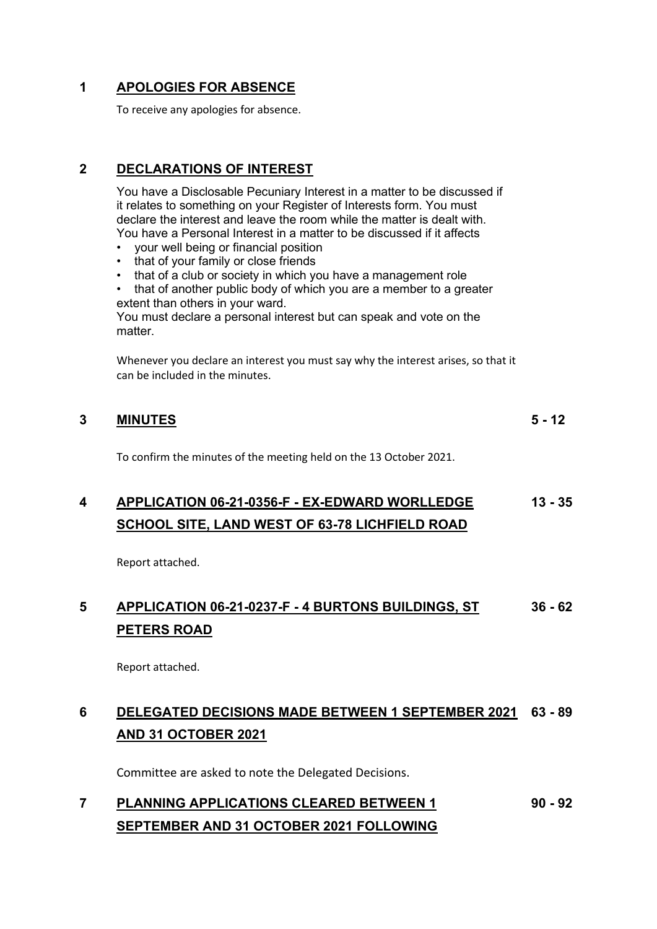## **1 APOLOGIES FOR ABSENCE**

To receive any apologies for absence.

## **2 DECLARATIONS OF INTEREST**

You have a Disclosable Pecuniary Interest in a matter to be discussed if it relates to something on your Register of Interests form. You must declare the interest and leave the room while the matter is dealt with. You have a Personal Interest in a matter to be discussed if it affects

- your well being or financial position
- that of your family or close friends
- that of a club or society in which you have a management role
- that of another public body of which you are a member to a greater extent than others in your ward.

You must declare a personal interest but can speak and vote on the matter.

Whenever you declare an interest you must say why the interest arises, so that it can be included in the minutes.

#### **3 MINUTES 5 - 12**

To confirm the minutes of the meeting held on the 13 October 2021.

#### **4 APPLICATION 06-21-0356-F - EX-EDWARD WORLLEDGE SCHOOL SITE, LAND WEST OF 63-78 LICHFIELD ROAD 13 - 35**

Report attached.

#### **5 APPLICATION 06-21-0237-F - 4 BURTONS BUILDINGS, ST PETERS ROAD 36 - 62**

Report attached.

# **6 DELEGATED DECISIONS MADE BETWEEN 1 SEPTEMBER 2021 63 - 89 AND 31 OCTOBER 2021**

Committee are asked to note the Delegated Decisions.

#### **7 PLANNING APPLICATIONS CLEARED BETWEEN 1 SEPTEMBER AND 31 OCTOBER 2021 FOLLOWING 90 - 92**